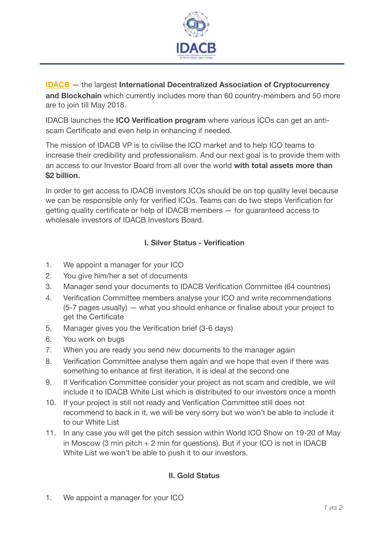

**[IDACB](http://www.idacb.com)** — the largest International Decentralized Association of Cryptocurrency **and Blockchain** which currently includes more than 60 country-members and 50 more are to join till May 2018.

IDACB launches the **ICO Verification program** where various ICOs can get an antiscam Certificate and even help in enhancing if needed.

The mission of IDACB VP is to civilise the ICO market and to help ICO teams to increase their credibility and professionalism. And our next goal is to provide them with an access to our Investor Board from all over the world **with total assets more than \$2 billion.** 

In order to get access to IDACB investors ICOs should be on top quality level because we can be responsible only for verified ICOs. Teams can do two steps Verification for getting quality certificate or help of IDACB members — for guaranteed access to wholesale investors of IDACB Investors Board.

## **I. Silver Status - Verification**

- 1. We appoint a manager for your ICO
- 2. You give him/her a set of documents
- 3. Manager send your documents to IDACB Verification Committee (64 countries)
- 4. Verification Committee members analyse your ICO and write recommendations (5-7 pages usually) — what you should enhance or finalise about your project to get the Certificate
- 5. Manager gives you the Verification brief (3-6 days)
- 6. You work on bugs
- 7. When you are ready you send new documents to the manager again
- 8. Verification Committee analyse them again and we hope that even if there was something to enhance at first iteration, it is ideal at the second one
- 9. If Verification Committee consider your project as not scam and credible, we will include it to IDACB White List which is distributed to our investors once a month
- 10. If your project is still not ready and Verification Committee still does not recommend to back in it, we will be very sorry but we won't be able to include it to our White List
- 11. In any case you will get the pitch session within World ICO Show on 19-20 of May in Moscow (3 min pitch + 2 min for questions). But if your ICO is not in IDACB White List we won't be able to push it to our investors.

## **ІІ. Gold Status**

1. We appoint a manager for your ICO